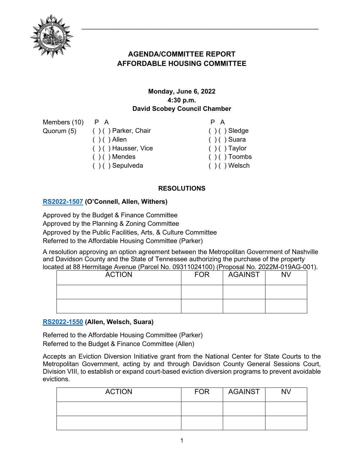

# **AGENDA/COMMITTEE REPORT AFFORDABLE HOUSING COMMITTEE**

# **Monday, June 6, 2022 4:30 p.m. David Scobey Council Chamber**

Members (10) Quorum (5)

P A ( ) ( ) Parker, Chair  $( ) ( )$  Allen ( ) ( ) Hausser, Vice  $( ) ( )$  Mendes ( ) ( ) Sepulveda P A  $( ) ( )$  Sledge ( ) ( ) Suara  $( ) ( )$  Taylor  $( ) ( )$  Toombs  $( )$  ( ) Welsch

# **RESOLUTIONS**

## **[RS2022-1507](http://nashville.legistar.com/gateway.aspx?m=l&id=/matter.aspx?key=14404) (O'Connell, Allen, Withers)**

Approved by the Budget & Finance Committee Approved by the Planning & Zoning Committee Approved by the Public Facilities, Arts, & Culture Committee Referred to the Affordable Housing Committee (Parker)

A resolution approving an option agreement between the Metropolitan Government of Nashville and Davidson County and the State of Tennessee authorizing the purchase of the property located at 88 Hermitage Avenue (Parcel No. 09311024100) (Proposal No. 2022M-019AG-001).

| <b>ACTION</b> | <b>FOR</b> | <b>AGAINST</b> | <b>NV</b> |
|---------------|------------|----------------|-----------|
|               |            |                |           |
|               |            |                |           |

## **[RS2022-1550](http://nashville.legistar.com/gateway.aspx?m=l&id=/matter.aspx?key=14592) (Allen, Welsch, Suara)**

Referred to the Affordable Housing Committee (Parker) Referred to the Budget & Finance Committee (Allen)

Accepts an Eviction Diversion Initiative grant from the National Center for State Courts to the Metropolitan Government, acting by and through Davidson County General Sessions Court, Division VIII, to establish or expand court-based eviction diversion programs to prevent avoidable evictions.

| <b>ACTION</b> | <b>FOR</b> | AGAINST | <b>NV</b> |
|---------------|------------|---------|-----------|
|               |            |         |           |
|               |            |         |           |